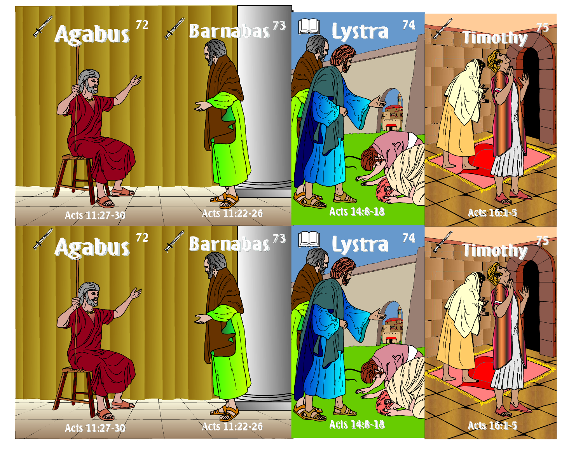